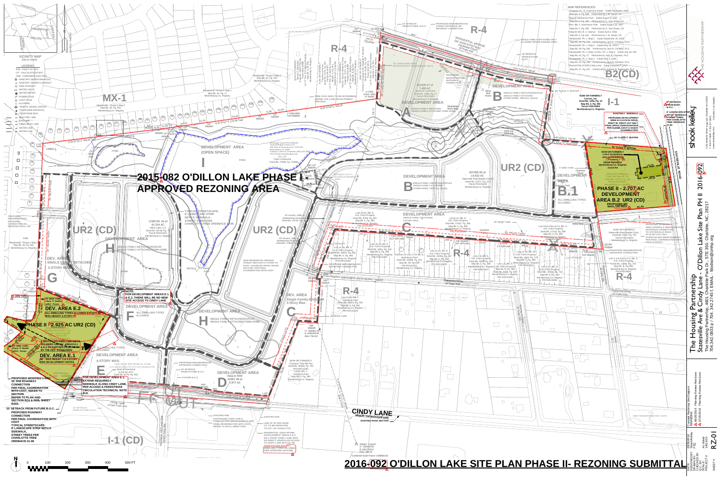